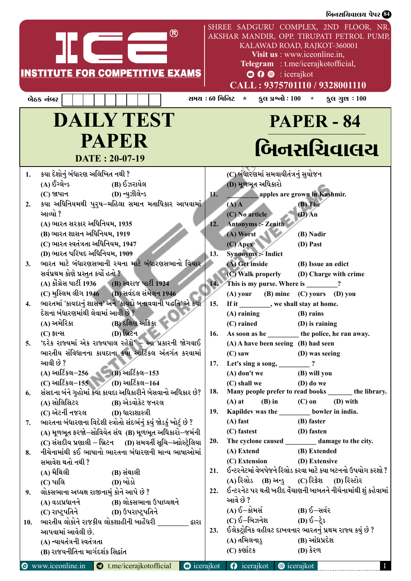|     |                                                                                                                    |     | બિનસચિવાલચ પેપર <b>&amp;</b>                                                                                                                                                                                                                                                                                         |
|-----|--------------------------------------------------------------------------------------------------------------------|-----|----------------------------------------------------------------------------------------------------------------------------------------------------------------------------------------------------------------------------------------------------------------------------------------------------------------------|
|     | ®<br><b>INSTITUTE FOR COMPETITIVE EXAMS</b><br>બેઠક નંબર                                                           |     | SHREE SADGURU COMPLEX, 2ND FLOOR, NR.<br>AKSHAR MANDIR, OPP. TIRUPATI PETROL PUMP,<br>KALAWAD ROAD, RAJKOT-360001<br>Visit us : www.iceonline.in,<br>Telegram : t.me/icerajkotofficial,<br><b>O O</b> © : icerajkot<br>CALL: 9375701110 / 9328001110<br><b>ફુલ પ્રશ્નો</b> : 100 * ફુલ ગુણ : 100<br>સમય : 60 મિનિટ * |
|     |                                                                                                                    |     |                                                                                                                                                                                                                                                                                                                      |
|     | <b>DAILY TEST</b><br><b>PAPER</b><br>DATE: 20-07-19                                                                |     | <b>PAPER - 84</b><br>બિનસચિવાલચ                                                                                                                                                                                                                                                                                      |
| 1.  | કયા દેશોનું બંધારણ અલિખિત નથી ?<br>(A) ઈંગ્લેન્ડ<br>(B) ઈઝરાયેલ                                                    |     | (C) બંધારણમાં સમવાયીતંત્રનું સુયોજન<br>(D) મૂળભૂત અધિકારો                                                                                                                                                                                                                                                            |
|     | (D) ન્યુઝીલેન્ડ<br>$(C)$ જાપાન                                                                                     | 11. | apples are grown in Kashmir.                                                                                                                                                                                                                                                                                         |
| 2.  | કયા અધિનિયમથી પુરુષ–મહિલા સમાન મતાધિકાર આપવામાં<br>આવ્યો ?                                                         |     | $(B)$ The<br>$(A)$ A<br>(C) No article<br>$(D)$ An                                                                                                                                                                                                                                                                   |
|     | (A) ભારત સરકાર અધિનિયમ, 1935                                                                                       | 12. | <b>Antonyms :- Zenith</b>                                                                                                                                                                                                                                                                                            |
|     | (B) ભારત શાસન અધિનિયમ, 1919<br>(C) ભારત સ્વતંત્રતા અધિનિયમ, 1947                                                   |     | (A) Worst<br>(B) Nadir<br>$(C)$ Apex<br>(D) Past                                                                                                                                                                                                                                                                     |
|     | (D) ભારત પરિષદ અધિનિયમ, 1909                                                                                       | 13. | <b>Synonyms :- Indict</b>                                                                                                                                                                                                                                                                                            |
| 3.  | ભારત માટે બંધારણસભાની રચના માટે બંધારણસભાનો વિચાર<br>સર્વપ્રથમ કોણે પ્રસ્તુત કર્યો હતો ?                           |     | (A) Get inside<br>(B) Issue an edict<br>(C) Walk properly<br>(D) Charge with crime                                                                                                                                                                                                                                   |
|     | (A) કોંગ્રેસ પાર્ટી 1936 (B) સ્વરાજ પાર્ટી 1924                                                                    | 14. | This is my purse. Where is ________?                                                                                                                                                                                                                                                                                 |
|     | (C) મુસ્લિમ લીગ 1946 (D) સર્વદલ સંમેલન 1946                                                                        |     | (A) your (B) mine (C) yours (D) you                                                                                                                                                                                                                                                                                  |
| 4.  | ભારતમાં 'કાયદાનું શાસન' અને 'કાયદો બનાવવાની પદ્ધતિ' એ કયા<br>દેશના બંધારણમાંથી લેવામાં આવી છે ?                    | 15. | If it _________, we shall stay at home.<br>$(A)$ raining<br>(B) rains                                                                                                                                                                                                                                                |
|     | (A) અમેરિકા<br>(B) દક્ષિણ અફ્રિકા                                                                                  |     | $(C)$ rained<br>(D) is raining                                                                                                                                                                                                                                                                                       |
|     | (D) બ્રિટન પ<br>(C) ફ્રાન્સ                                                                                        | 16. | As soon as he the police, he ran away.                                                                                                                                                                                                                                                                               |
| 5.  | 'દરેક રાજ્યમાં એક રાજ્યપાલ રહેશે' – આ પ્રકારની જોગવાઈ                                                              |     | (A) A have been seeing (B) had seen                                                                                                                                                                                                                                                                                  |
|     | ભારતીય સંવિધાનના કાયદાના કયા આર્ટિકલ અંતર્ગત કરવામાં<br>આવી છે ?                                                   |     | $(C)$ saw<br>(D) was seeing                                                                                                                                                                                                                                                                                          |
|     | (A) આર્ટિકલ-256 (B) આર્ટિકલ-153                                                                                    | 17. | Let's sing a song, __________?<br>$(A)$ don't we<br>(B) will you                                                                                                                                                                                                                                                     |
|     | (C) આર્ટિકલ-155 (D) આર્ટિકલ-164                                                                                    |     | $(D)$ do we<br>(C) shall we                                                                                                                                                                                                                                                                                          |
| 6.  | સંસદના બંને ગૃહોમાં કયા કાયદા અધિકારીને બેસવાનો અધિકાર છે?                                                         | 18. | Many people prefer to read books ______ the library.                                                                                                                                                                                                                                                                 |
|     |                                                                                                                    |     | $(B)$ in $(C)$ on $(D)$ with<br>$(A)$ at                                                                                                                                                                                                                                                                             |
|     | (C) એટર્ની નજરલ (D) ધારાશાસ્ત્રી                                                                                   | 19. | Kapildev was the _________ bowler in india.                                                                                                                                                                                                                                                                          |
| 7.  | ભારતના બંધારણના વિદેશી સ્ત્રોતો સંદર્ભનું કયું જોડકું ખોટું છે ?                                                   |     | $(A)$ fast<br>(B) faster                                                                                                                                                                                                                                                                                             |
|     | (A) મૂળભૂત ફરજો–સોવિયેત સંઘ (B) મૂળભૂત અધિકારો–જર્મની<br>(C) સંસદીય પ્રણાલી – બ્રિટન (D) સમવર્તી સૂચિ–આોસ્ટ્રેલિયા | 20. | (C) fastest (D) fasten<br>The cyclone caused __________ damage to the city.                                                                                                                                                                                                                                          |
| 8.  | નીચેનામાંથી કઈ ભાષાનો ભારતના બંધારણની માન્ય ભાષાઓમાં                                                               |     | (A) Extend<br>(B) Extended                                                                                                                                                                                                                                                                                           |
|     | સમાવેશ થતો નથી ?                                                                                                   |     | (C) Extension (D) Extensive                                                                                                                                                                                                                                                                                          |
|     | (A) મૈથિલી<br>(B) સંથાલી                                                                                           | 21. | ઈન્ટરનેટમાં વેબપેજને રિલોડ કરવા માટે કયા બટનનો ઉપયોગ કરશો ?                                                                                                                                                                                                                                                          |
|     | (D) બોડો<br>(C) પાલિ                                                                                               |     | (A) રિલોડ (B) અન્ડુ (C) રિફ્રેશ (D) રિસ્ટોર                                                                                                                                                                                                                                                                          |
| 9.  | લોકસભાના અધ્યક્ષ રાજીનામું કોને આપે છે ?                                                                           | 22. | ઈન્ટરનેટ પર થતી ખરીદ વેંચાણની બાબતને નીચેનામાંથી શું કહેવામાં                                                                                                                                                                                                                                                        |
|     | (A) વડાપ્રધાનને (B) લોકસભાના ઉપાધ્યક્ષને                                                                           |     | આવે છે ?<br>(A) ઈ $-$ કોમર્સ (B) ઈ $-$ સર્વર                                                                                                                                                                                                                                                                         |
|     | (C) રાષ્ટ્રપતિને (D) ઉપરાષ્ટ્રપતિને<br>ભારતીય લોકોને રાજકીય લોકશાહીની બાહેંધરી ________ દ્વારા                     |     | (C) $\delta$ -બિઝનેશ (D) $\delta$ -ट्रेड                                                                                                                                                                                                                                                                             |
| 10. | આપવામાં આવેલી છે.                                                                                                  | 23. | ઈલેક્ટ્રોનિક વહીવટ દાખવનાર ભારતનું પ્રથમ રાજ્ય કયું છે ?                                                                                                                                                                                                                                                             |
|     | (A) ન્યાયતંત્રની સ્વતંત્રતા                                                                                        |     | (A) તમિલનાડુ<br>(B) આંધ્રપ્રદેશ                                                                                                                                                                                                                                                                                      |
|     | (B) રાજયનીતિના માર્ગદર્શક સિદ્ઘાંત                                                                                 |     | (C) કર્ણાટક<br>(D) કેરળ                                                                                                                                                                                                                                                                                              |
|     | Commissanting in C transferred consideration C international C international C international                       |     |                                                                                                                                                                                                                                                                                                                      |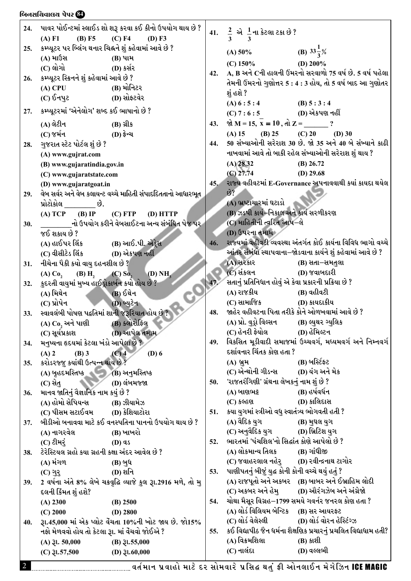## .<br>બિનસચિવાલય પેપર <mark>(?)</mark><br>|

| 24.        |                                                  | પાવર પોઈન્ટમાં સ્લાઈડ શો શરૂ કરવા કઈ કીનો ઉપયોગ થાય છે ?        |     |                                                        |                                                                   |
|------------|--------------------------------------------------|-----------------------------------------------------------------|-----|--------------------------------------------------------|-------------------------------------------------------------------|
|            | (A) F1<br>$(B)$ F5                               | $(C)$ F4<br>(D) F3                                              |     | 41. $\frac{2}{3}$ એ $\frac{1}{3}$ ના કેટલા ટકા છે ?    |                                                                   |
| 25.        |                                                  | કમ્પ્યૂટર પર બ્લિંગ થનાર ચિહ્નને શું કહેવામાં આવે છે ?          |     | (A) 50% (B) $33\frac{1}{3}\%$                          |                                                                   |
|            | (A) માઉસ                                         | $(B)$ પામ                                                       |     | $(C)$ 150%                                             | (D) $200\%$                                                       |
|            | $(C)$ લોગો                                       | (D) કર્સર                                                       |     |                                                        | 42. A, B અને Cની હાલની ઉંમરનો સરવાળો 75 વર્ષ છે. 5 વર્ષ પહેલા     |
| 26.        | કમ્પ્યૂટર સ્ક્રિનને શું કહેવામાં આવે છે ?        |                                                                 |     |                                                        | તેમની ઉંમરનો ગુણોત્તર 5 : 4 : 3 હોય, તો 5 વર્ષ બાદ આ ગુણોતર       |
|            | $(A)$ CPU $(B)$ મોનિટર                           |                                                                 |     | શું હશે ?                                              |                                                                   |
|            |                                                  |                                                                 |     | $(A) 6:5:4$ (B) $5:3:4$                                |                                                                   |
| 27.        | કમ્પ્યૂટરમાં 'એનેલોગ' શબ્દ કઈ ભાષાનો છે ?        |                                                                 |     | $(C) 7 : 6 : 5$ (D) એકપણ નહીં                          |                                                                   |
|            | (A) લેટીન                                        | (B) ગ્રીક                                                       | 43. | $\hat{M}$ M = 15, x = 10, di Z = ?                     |                                                                   |
|            | (C) જર્મન (D) ફ્રેન્ચ                            |                                                                 |     | (A) 15 (B) 25 (C) 20 (D) 30                            |                                                                   |
| 28.        | ગુજરાત સ્ટેટ પોર્ટલ શું છે ?                     |                                                                 | 44. |                                                        | 50 સંખ્યાઓની સરેરાશ 30 છે. જો 35 અને 40 બે સંખ્યાને કાઢી          |
|            | (A) www.gujrat.com                               |                                                                 |     |                                                        | નાખવામાં આવે તો બાકી રહેલ સંખ્યાઓની સરેરાશ શું થાય ?              |
|            | (B) www.gujaratindia.gov.in                      |                                                                 |     | $(A)$ 28.32                                            | $(B)$ 26.72                                                       |
|            | (C) www.gujaratstate.com                         |                                                                 |     | $(C)$ 27.74                                            | (D) $29.68$                                                       |
|            | (D) www.gujaratgoat.in                           |                                                                 | 45. |                                                        | રાજ્ય વહીવટમાં E-Governance અપનાવવાથી કર્યા કાયદા થયેલ            |
| 29.        |                                                  | વેબ સર્વર અને વેબ કલાયન્ટ વચ્ચે માહિતી સંપાદદિતતાનો આધારભૂત     |     | 63                                                     |                                                                   |
|            | પ્રોટોકોલ છે.                                    |                                                                 |     | (A) ભ્રષ્ટાચારમાં ઘટાડો                                |                                                                   |
|            |                                                  | (A) TCP (B) IP (C) FTP (D) HTTP                                 |     | (B) ઝડપી કાર્ય-નિકાલ અને કાર્ય સરળીકરણ                 |                                                                   |
| 30.        |                                                  | નો ઉપયોગ કરીને વેબસાઈટના અન્ય સંબંધિત પેજ પર                    |     | (C) માહિતીની ત્વરિત આપ–લે                              |                                                                   |
|            | જઈ શકાય છે ?                                     |                                                                 |     | (D) ઉપરના તમામ <b>્</b>                                |                                                                   |
|            | (A) હાઈપર લિંક (B) આઈ.પી. એડ્રેસ                 |                                                                 | 46. |                                                        | રાજ્યમાં વહીવટી વ્યવસ્થા અંતર્ગત કોઈ કાર્યના વિવિધ ભાગો વચ્ચે     |
|            | (C) વીસીટેડ લિંક (D) એકપણ નહીં                   |                                                                 |     |                                                        | આંતર સંબંધો સ્થાપવાના–જોડવાના કાર્યને શું કહેવામાં આવે છે ?       |
| 31.        | નીચેના પૈકી કયો વાયુ દહનશીલ છે ?                 |                                                                 |     | (A) સરકાર                                              | (B) સતા–સમતુલા                                                    |
|            |                                                  | (A) $Co_2$ (B) $H_2$ (C) $So_2$ (D) $NH_3$                      |     | $(C)$ સંકલન $(D)$ જવાબદારી                             |                                                                   |
| 32.        | કુદરતી વાયુમાં મુખ્ય હાઈડ્રોકાર્બન કયો હોય છે ?  |                                                                 |     | સતાનું પ્રતિનિધાન હોવું એ કેવા પ્રકારની પ્રક્રિયા છે ? |                                                                   |
|            | (A) મિથેન                                        | $(B)$ $\delta$ થેન                                              |     | (A) રાજકીય (B) વહીવટી                                  |                                                                   |
|            | $(D)$ પ્રોપેન $(D)$ બ્યુટેન                      |                                                                 |     | (C) સામાજિક (D) કાયદાકીય                               |                                                                   |
| 33.        |                                                  | સ્વાવલંબી પોષણ પદ્ધતિમાં શાની જરૂરિયાત હોય છે ?                 | 48. |                                                        | જાહેર વહીવટના પિતા તરીકે કોને ઓળખવામાં આવે છે ?                   |
|            | (A) Co, અને પાણી                                 | (B) ક્લોરોફિલ                                                   |     | (A) પ્રો. વુડ્રો વિલ્સન           (B) લ્યુથર ગ્યુલિક   |                                                                   |
|            | (C) સૂર્યપ્રકાશ (D) આપેલ તમામ                    |                                                                 |     |                                                        |                                                                   |
| 34.        | મનુષ્યના હૃદયમાં કેટલા ખંડો આપેલા છે ?           |                                                                 | 49. |                                                        | વિકસિત મૂડીવાદી સમાજમાં ઉચ્ચવર્ગ, મધ્યમવર્ગ અને નિમ્નવર્ગ         |
|            | $(A)$ 2<br>$(B)$ 3                               | $(C)$ 4<br>$(D)$ 6                                              |     | દર્શાવનાર ચિંતક કોણ હતા ?                              |                                                                   |
| <b>35.</b> | કરોડરજ્જુ કયાંથી ઉત્પન્ન થાય છે ?                |                                                                 |     | (A) બ્રુમ                                              | (B) બસ્ટિફ્ટ                                                      |
|            | (A) બૃહદમસ્તિષ્ક                 (B) અનુમસ્તિષ્ક |                                                                 |     | (C) એન્થોની ગીડન્સ                                     | (D) યંગ અને મેક                                                   |
|            | (C) સે <u>ત</u> ્                                | (D) લંબમજ્જા                                                    | 50. | 'રાજતરંગિણી' ગ્રંથના લેખકનું નામ શું છે ?              |                                                                   |
| 36.        | માનવ જાતિનું વૈજ્ઞાનિક નામ કયું છે ?             |                                                                 |     | (A) બાણભટ્ટ                                            | (B) હર્ષવર્ધન                                                     |
|            | (A) હોમો સેપિયન્સ                                | (B) ઝીયામેઝ                                                     |     | (C) કલ્હણ                                              | (D) કાલિદાસ                                                       |
|            | (C) પીસમ સટાઈવમ                                  | (D) કેશિયાટોરા                                                  | 51. | કયા યુગમાં સ્ત્રીઓ વધુ સ્વાતંત્ર્ય ભોગવતી હતી ?        |                                                                   |
| 37.        |                                                  | બીડીઓ બનાવવા માટે કઈ વનસ્પતિના પાનનો ઉપયોગ થાય છે ?             |     | (A) વૈદિક યુગ<br>(C) અનુવૈદિક યુગ                      | (B) મથલ યગ<br>(D) બ્રિટિશ યુગ                                     |
|            | (A) નાગરવેલ                                      | (B) ખાખરો                                                       |     | ભારતમાં 'પંચશિલ'નો સિદ્ઘાંત કોણે આપેલો છે ?            |                                                                   |
|            | $(C)$ ટીમરું                                     | $(D)$ qs                                                        | 52. | (A) લોકમાન્ય તિલક                                      | (B) ગાંધીજી                                                       |
| 38.        | ટેરેસ્ટિયલ ગ્રહો કયા ગ્રહની કક્ષા અંદર આવેલ છે ? |                                                                 |     | (C) જવાહરલાલ નહેર્          (D) રવીન્દ્રનાથ ટાગોર      |                                                                   |
|            | (A) મંગળ                                         | (B) બુધ                                                         | 53. | પાણીપતનું બીજું યુદ્ધ કોની કોની વચ્ચે થયું હતું ?      |                                                                   |
|            | $(C)$ ગુર્                                       | (D) શનિ                                                         |     |                                                        | (A) રાજપૂતો અને અકબર (B) બાબર અને ઈબ્રાહિમ લોદી                   |
| 39.        | દલની કિંમત શું હશે?                              | 2 વર્ષના અંતે 8% લેખે ચક્રવૃદ્ધિ વ્યાજે કુલ રૂા.2916 મળે, તો મુ |     | (C) અકબર અને હેમ્                                      | (D) ઔરંગઝેબ અને અંગ્રેજો                                          |
|            |                                                  |                                                                 | 54. |                                                        | ચોથા મૈસૂર વિગ્રહ $-$ 1799 સમયે ગવર્નર જનરલ કોણ હતા ?             |
|            | $(A)$ 2300<br>$(C)$ 2000                         | $(B)$ 2500<br>$(D)$ 2800                                        |     | (A) લોર્ડ વિલિયમ બેન્ટિક (B) સર આયરફ્ટ                 |                                                                   |
| 40.        |                                                  | રૂા.45,000 માં એક પ્લોટ વેંચતા 10%ની ખોટ જાય છે. જો15%          |     | (C) લોર્ડ વેલેસ્લી                                     | (D) લોર્ડ વોરન હેસ્ટિંગ્ઝ                                         |
|            | નફો મેળવવો હોય તો કેટલા રૂા. માં વેંચવો જોઈએ ?   |                                                                 | 55. |                                                        | કઈ વિદ્યાપીઠ જૈન ધર્મના શૈક્ષણિક પ્રચારનું પ્રચલિત વિદ્યાધામ હતી? |
|            | $(A)$ $\xi$ l. 50,000                            | $(B)$ 31.55,000                                                 |     | (A) વિક્રમશિલા                                         | (B) કાશી                                                          |
|            | $(C)$ $\xi$ l.57,500                             | (D) $31.60,000$                                                 |     | (C) નાલંદા                                             | (D) વલ્લભી                                                        |
|            |                                                  |                                                                 |     |                                                        |                                                                   |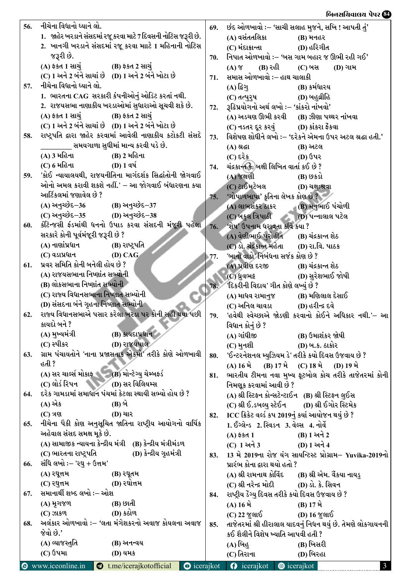## $\log \frac{G}{G}$ ,  $\log \frac{G}{G}$ ,  $\log \frac{G}{G}$ ,  $\log \frac{G}{G}$ ,  $\log \frac{G}{G}$ ,  $\log \frac{G}{G}$ ,  $\log \frac{G}{G}$ ,  $\log \frac{G}{G}$ ,  $\log \frac{G}{G}$ ,  $\log \frac{G}{G}$ ,  $\log \frac{G}{G}$ ,  $\log \frac{G}{G}$ ,  $\log \frac{G}{G}$ ,  $\log \frac{G}{G}$ ,  $\log \frac{G}{G}$ ,  $\log \frac{G}{G}$ ,  $\log \frac{G}{G}$ ,

| 56. | નીચેના વિધાનો ધ્યાને લો.                                                             | 69. | છંદ ઓળખાવો :– 'સાચી સલાહ મુજને, સખિ ! આપતી તું'                 |
|-----|--------------------------------------------------------------------------------------|-----|-----------------------------------------------------------------|
|     | 1. જાહેર ખરડાને સંસદમાં રજૂ કરવા માટે 7 દિવસની નોટિસ જરૂરી છે.                       |     | (A) વસંતતલિકા<br><b>(B)</b> મનહર                                |
|     | 2. ખાનગી ખરડાને સંસદમાં રજૂ કરવા માાટે 1 મહિનાની નોટિસ                               |     | (C) મંદાક્રાન્તા<br>(D) હરિગીત                                  |
|     | જરૂરી છે.                                                                            | 70. | નિપાત ઓળખાવો :– 'બસ ગામ બહાર જ ઊભી રહી ગઈ'                      |
|     | (A) ફકત 1 સાચું<br>(B) ફકત 2 સાચું                                                   |     | (B) રહી<br>(C) બસ<br>$(A)$ $\gamma$<br>(D) ગામ                  |
|     | (C) 1 અને 2 બંને સાચાં છે (D) 1 અને 2 બંને ખોટા છે                                   | 71. | સમાસ ઓળખાવો :– હાથ ચાલાકી                                       |
| 57. | નીચેના વિધાનો ધ્યાને લો.                                                             |     | (B) કર્મધારય<br>(A) દિગુ                                        |
|     | 1. ભારતના CAG સરકારી કંપનીઓનું ઓડિટ કરતાં નથી.                                       |     | (D) બહુવ્રીહિ<br>(C) તત્પુરૂષ                                   |
|     | 2. રાજયસભા નાણાકીય ખરડાઓમાં સુધારાઓ સૂચવી શકે છે.                                    | 72. | રૂઢિપ્રયોગનો અર્થ લખો :– 'કાંકરો નાંખવો'                        |
|     | (A) ફકત 1 સાચું<br>(B) ફકત 2 સાચું                                                   |     | (A) અડચણ ઊભી કરવી<br>(B) ઝીણા પથ્થર નાંખવા                      |
|     | (C) 1 અને 2 બંને સાચાં છે (D) 1 અને 2 બંને ખોટા છે                                   |     | (C) નડતર દૂર કરવું (D) કાંકરા ફેંકવા                            |
| 58. | રાષ્ટ્રપતિ દ્વારા જાહેર કરવામાં આવેલી નાણાકીય કટોકટી સંસદે                           | 73. | વિશેષણ શોધીને લખો :– 'દરેકને એમના ઉપર અટલ શ્રદ્ધા હતી.'         |
|     | __ સમયગાળા સુધીમાં માન્ય કરવી પડે છે.                                                |     | (B) અટલ<br>(A) શ્રદ્ધા                                          |
|     | (A) 3 મહિના<br>(B) 2 મહિના                                                           |     | $(C)$ દરેક<br>(D) ઉપર                                           |
|     | (C) 6 મહિના<br>$(D) 1 q \mathcal{A}$                                                 | 74. | ચંદ્રકાન્ત કે. બક્ષી લિખિત વાર્તા કઈ છે ?                       |
| 59. | 'કોઈ ન્યાયાલયથી, રાજયનીતિના માર્ગદર્શક સિદ્ઘાંતોની જોગવાઈ                            |     | (A) જક્ષણી<br>(B) છકડો                                          |
|     | ઓનો અમલ કરાવી શકશે નહીં.' – આ જોગવાઈ બંધારણના કયા                                    |     | (C) ટાઈમટેબલ<br>(D) ચક્ષુ:શ્રવા                                 |
|     | આર્ટિકલમાં જણાવેલ છે ?                                                               | 75. | 'ગોપાળબાપા' કૃતિના લેખક કોણ છે ?                                |
|     | (A) અનુચ્છેદ–36 (B) અનુચ્છેદ–37                                                      |     | (A) લાભશંકર ઠાકર           (B) મનુભાઈ પંચોળી                    |
|     | (C) અનુચ્છેદ–35 (D) અનુચ્છેદ–38                                                      |     | (C) બકુલ ત્રિપાઠી (D) પન્નાલાલ પટેલ                             |
| 60. | કંટિન્જસી ફંડમાંથી ધનનો ઉપાડ કરવા સંસદની મંજૂરી પહેલા                                |     | 76. 'શેષ' ઉપનામ ધરાવતા કવિ કયા ?                                |
|     | સરકારે કોની પૂર્વમંજૂરી જરૂરી છે ?                                                   |     | (A) વેણીભાઈ પુરોહીત (B) ચંદ્રકાન્ત શેઠ                          |
|     | (A) નાણાંપ્રધાન<br>(B) રાષ્ટ્રપતિ                                                    |     | (C) ડો. ચંદ્રકાન્ત મહેતા (D) રા.વિ. પાઠક                        |
|     | (C) વડાપ્રધાન<br>(D) CAG<br>પ્રવર સમિતિ કોની બનેલી હોય છે ?                          | 77. | 'બાનો વાડો' નિબંધના સર્જક કોણ છે ?                              |
| 61. |                                                                                      |     | (A) પ્રવીણ દરજી (B) ચંદ્રકાન્ત શેઠ                              |
|     | (A) રાજયસભાના નિષ્ણાંત સભ્યોની<br>(B) લોકસભાના નિષ્ણાંત સભ્યોની                      |     | ાD) સુરેશભાઈ જોષી<br>$(C)$ ધ્રુવભટ્ટ                            |
|     | (C) રાજ્ય વિધાનસભાના નિષ્ણાત સભ્યોની                                                 | 78. | 'દિકરીની વિદાય' ગીત કોણે લખ્યું છે ?                            |
|     | (D) સંસદના બંને ગૃહના નિષ્ણાત સભ્યોની                                                |     | (A) માધવ રામાનુજ<br>(B) મણિલાલ દેસાઈ                            |
| 62. | રાજ્ય વિધાનસભાએ પસાર કરેલા ખરડા પર કોની સહી થયા પછી                                  | 79. | 'હવેથી સ્વેચ્છાએ જોડણી કરવાનો કોઈને અધિકાર નથી.'– આ             |
|     | કાયદો બને ?                                                                          |     | વિધાન કોનું છે ?                                                |
|     | (A) મુખ્યમંત્રી<br>(B) કાયદાપ્રધાન                                                   |     | (A) ગાંધીજી<br>(B) ઉમાશંકર જોષી                                 |
|     | (C) સ્પીકર<br>(D) રાજયપાલ                                                            |     | (C) મુનશી<br>(D) બ.ક. ઠાકોર                                     |
| 63. | ગ્રામ પંચાયતોને 'નાના પ્રજાસતાક એકમો' તરીકે કોણે ઓળખાવી                              | 80. | 'ઈન્ટરનેશનલ મ્યુઝિયમ ડે' તરીકે કયો દિવસ ઉજવાય છે ?              |
|     | હતી ?                                                                                |     | (B) 17 $\hat{H}$ (C) 18 $\hat{H}$ (D) 19 $\hat{H}$<br>(A) 16 મે |
|     | (A) સર ચાર્લ્સ મોકા <del>ફ (B)</del> મોન્ટેગ્યુ ચેમ્બફર્ડ                            | 81. | ભારતીય ટીમના નવા મુખ્ય ફૂટબોલ કોચ તરીકે તાજેતરમાં કોની          |
|     | (C) લોર્ડ રિપન (D) સર વિલિયમ્સ                                                       |     | નિમણૂક કરવામાં આવી છે ?                                         |
| 64. | દરેક ગામડામાં સમાધાન પંચમાં કેટલા સ્થાયી સભ્યો હોય છે ?                              |     | (A) શ્રી સ્ટિફન કોન્સટેન્ટાઈન (B) શ્રી સ્ટિફન લુઈસ              |
|     | (A) એક<br>(B) બે                                                                     |     | (C) શ્રી ઈ.ડબલ્યુ સ્ટેઈન (D) શ્રી ઈગોર સ્ટિમેક                  |
|     | $(C)$ ત્રણ<br><b>(D)</b> ચાર                                                         | 82. | ICC ક્રિકેટ વર્લ્ડ કપ 2019નું કયાં આયોજન થયું છે ?              |
| 65. | નીચેના પૈકી કોણ અનુસૂચિત જાતિના રાષ્ટ્રીય આયોગનો વાર્ષિક                             |     | 1. ઈંગ્લેન્ડ 2. સ્વિડન 3. વેલ્સ 4. નોર્વે                       |
|     | અહેવાલ સંસદ સમક્ષ મૂકે છે.                                                           |     | (B) 1 અને 2<br>$(A)$ ફેકેતે $1$                                 |
|     | (A) સામાજીક ન્યાયના કેન્દ્રીય મંત્રી (B) કેન્દ્રીય મંત્રીમંડળ                        |     | (D) 1 અને 4<br>(C) 1 અને 3                                      |
|     | (C) ભારતના રાષ્ટ્રપતિ<br>(D) કેન્દ્રીય ગૃહમંત્રી                                     | 83. | 13 મે 2019ના રોજ યંગ સાયન્ટિસ્ટ પ્રોગ્રામ- Yuvika-2019નો        |
| 66. | સંધિ લખો :– 'રઘુ + ઉત્તમ'                                                            |     | પ્રારંભ કોના દ્વારા થયો હતો ?                                   |
|     | (A) २धूत्त <b>म</b><br>(B) રઘૂતમ                                                     |     | (A) શ્રી રામનાથ કોવિંદ (B) શ્રી એમ. વૈંકયા નાયડુ                |
|     | (D) રઘોત્તમ<br>(C) રઘુત્તમ                                                           |     | (C) શ્રી નરેન્દ્ર મોદી (D) ડો. કે. સિવન                         |
| 67. | સમાનાર્થી શબ્દ લખો :– ઓશ                                                             | 84. | રાષ્ટ્રીય ડેંગ્યુ દિવસ તરીકે કયો દિવસ ઉજવાય છે ?                |
|     | (B) છાતી<br>(A) મૃગજળ                                                                |     | (A) 16 મે<br>(B) $17 \hat{H}$                                   |
|     | (D) કઠોળ<br>$(C)$ ઝાકળ                                                               |     | (C) 22 જુલાઈ<br>(D) 16 જુલાઈ                                    |
| 68. | અલંકાર ઓળખાવો :– 'લતા મંગેશકરનો અવાજ કોયલના અવાજ                                     | 85. | તાજેતરમાં શ્રી હીરાલાલ યાદવનું નિધન થયું છે. તેમણે લોકગાયનની    |
|     | જેવો છે.'                                                                            |     | કઈ શૈલીને વિશેષ ખ્યાતિ આપવી હતી ?                               |
|     | (A) વ્યાજસ્તુતિ<br>(B) અનન્વય                                                        |     | (A) બિહ<br>(B) ખિસરી                                            |
|     | $(C)$ ઉપમા<br><b>(D) યમક</b>                                                         |     | (D) બિરહા<br>(C) તિરાના                                         |
|     | <b>O</b> www.iceonline.in<br>$\bullet$ t.me/icerajkotofficial<br>$\bullet$ icerajkot |     | <b>O</b> icerajkot <b>@</b> icerajkot<br>$\mathbf{3}$           |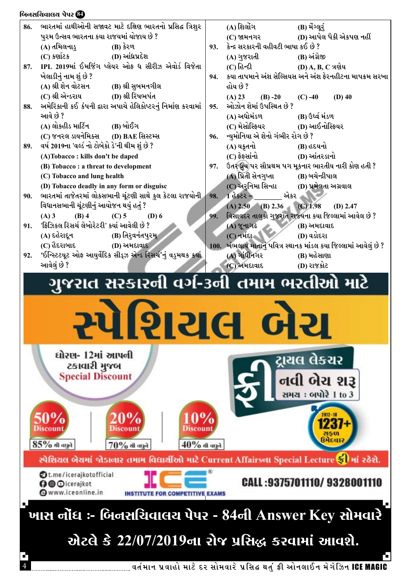

4 JT"DFG 5|JFCM DF8[ NZ ;MDJFZ[ 5|l;â YT]\ ËL VMG,F.G D[U[lhG ICE MAGIC